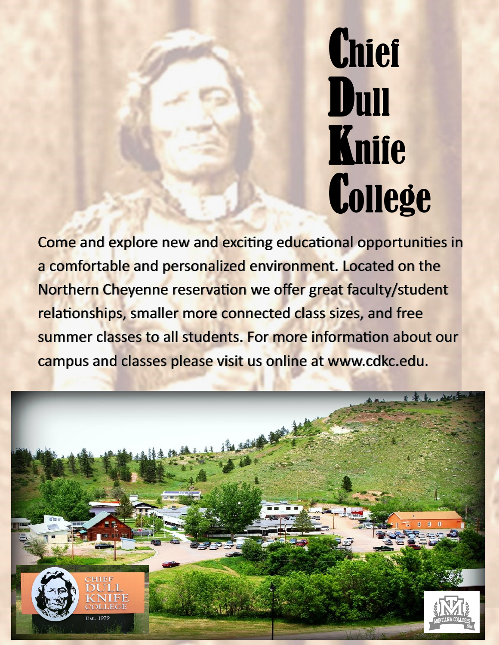# **Chief** Dull Knife **College**

Come and explore new and exciting educational opportunities in a comfortable and personalized environment. Located on the Northern Cheyenne reservation we offer great faculty/student relationships, smaller more connected class sizes, and free summer classes to all students. For more information about our campus and classes please visit us online at www.cdkc.edu.

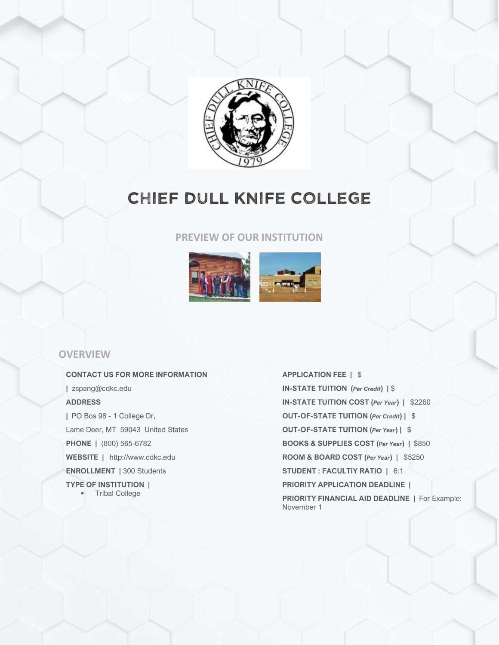

## CHIEF DULL KNIFE COLLEGE

#### **PREVIEW OF OUR INSTITUTION**



## **OVERVIEW**

**CONTACT US FOR MORE INFORMATION |** zspang@cdkc.edu **ADDRESS |** PO Bos 98 - 1 College Dr, Lame Deer, MT 59043 United States **PHONE |** (800) 565-6782 **WEBSITE |** http://www.cdkc.edu **ENROLLMENT |** 300 Students **TYPE OF INSTITUTION |** ▪ Tribal College

**APPLICATION FEE |** \$ **IN-STATE TUITION (***Per Credit***) |** \$ **IN-STATE TUITION COST (***Per Year***) |** \$2260 **OUT-OF-STATE TUITION (***Per Credit***) |** \$ **OUT-OF-STATE TUITION (***Per Year***) |** \$ **BOOKS & SUPPLIES COST (***Per Year***) |** \$850 **ROOM & BOARD COST (***Per Year***) |** \$5250 **STUDENT : FACULTIY RATIO |** 6:1 **PRIORITY APPLICATION DEADLINE | PRIORITY FINANCIAL AID DEADLINE |** For Example: November 1